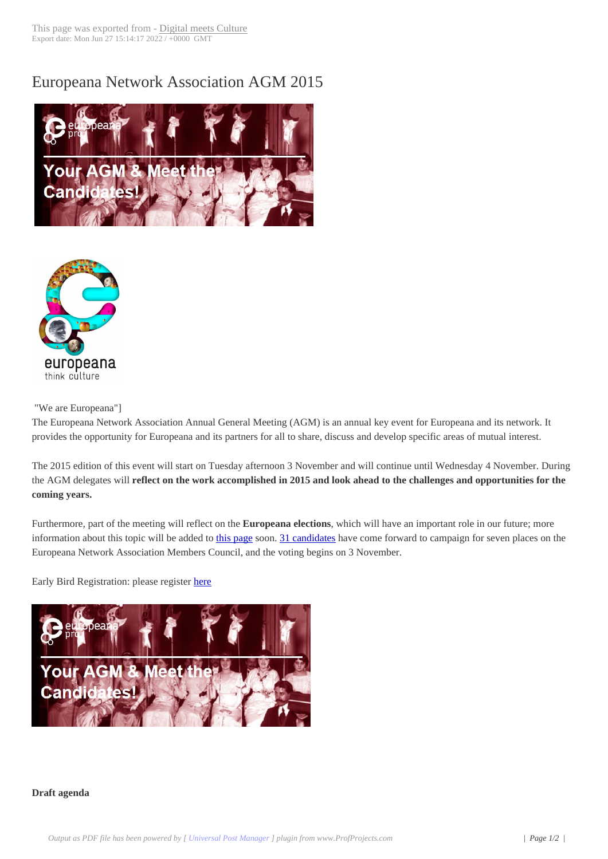## Europeana Networ[k Association](http://www.digitalmeetsculture.net/?p=38360) AGM 2015





"We are Europeana"]

The Europeana Network Association Annual General Meeting (AGM) is an annual key event for Europeana and its network. It provides the opportunity for Europeana and its partners for all to share, discuss and develop specific areas of mutual interest.

The 2015 edition of this event will start on Tuesday afternoon 3 November and will continue until Wednesday 4 November. During the AGM delegates will **reflect on the work accomplished in 2015 and look ahead to the challenges and opportunities for the coming years.**

Furthermore, part of the meeting will reflect on the **Europeana elections**, which will have an important role in our future; more information about this topic will be added to this page soon. 31 candidates have come forward to campaign for seven places on the Europeana Network Association Members Council, and the voting begins on 3 November.

Early Bird Registration: please register here



## **Draft agenda**